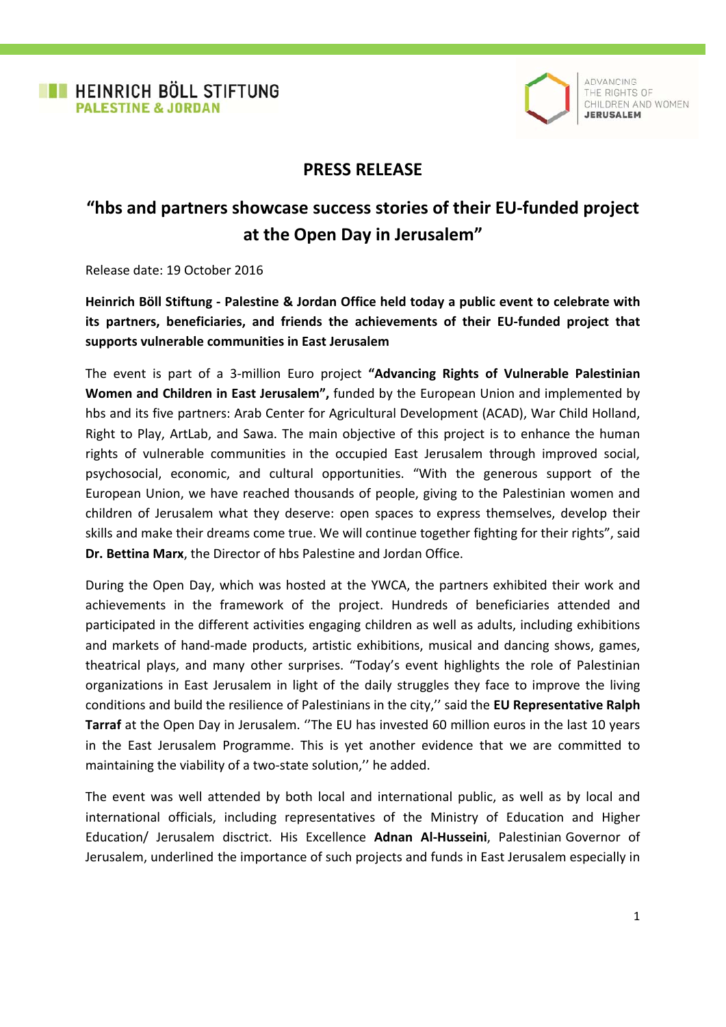

ADVANCING THE RIGHTS OF CHILDREN AND WOMEN **JERUSALEM** 

## **PRESS RELEASE**

## **"hbs and partners showcase success stories of their EU-funded project at the Open Day in Jerusalem"**

Release date: 19 October 2016

**Heinrich Böll Stiftung - Palestine & Jordan Office held today a public event to celebrate with its partners, beneficiaries, and friends the achievements of their EU-funded project that supports vulnerable communities in East Jerusalem** 

The event is part of a 3-million Euro project **"Advancing Rights of Vulnerable Palestinian Women and Children in East Jerusalem",** funded by the European Union and implemented by hbs and its five partners: Arab Center for Agricultural Development (ACAD), War Child Holland, Right to Play, ArtLab, and Sawa. The main objective of this project is to enhance the human rights of vulnerable communities in the occupied East Jerusalem through improved social, psychosocial, economic, and cultural opportunities. "With the generous support of the European Union, we have reached thousands of people, giving to the Palestinian women and children of Jerusalem what they deserve: open spaces to express themselves, develop their skills and make their dreams come true. We will continue together fighting for their rights", said **Dr. Bettina Marx**, the Director of hbs Palestine and Jordan Office.

During the Open Day, which was hosted at the YWCA, the partners exhibited their work and achievements in the framework of the project. Hundreds of beneficiaries attended and participated in the different activities engaging children as well as adults, including exhibitions and markets of hand-made products, artistic exhibitions, musical and dancing shows, games, theatrical plays, and many other surprises. "Today's event highlights the role of Palestinian organizations in East Jerusalem in light of the daily struggles they face to improve the living conditions and build the resilience of Palestinians in the city,'' said the **EU Representative Ralph Tarraf** at the Open Day in Jerusalem. ''The EU has invested 60 million euros in the last 10 years in the East Jerusalem Programme. This is yet another evidence that we are committed to maintaining the viability of a two-state solution,'' he added.

The event was well attended by both local and international public, as well as by local and international officials, including representatives of the Ministry of Education and Higher Education/ Jerusalem disctrict. His Excellence **Adnan Al-Husseini**, Palestinian Governor of Jerusalem, underlined the importance of such projects and funds in East Jerusalem especially in